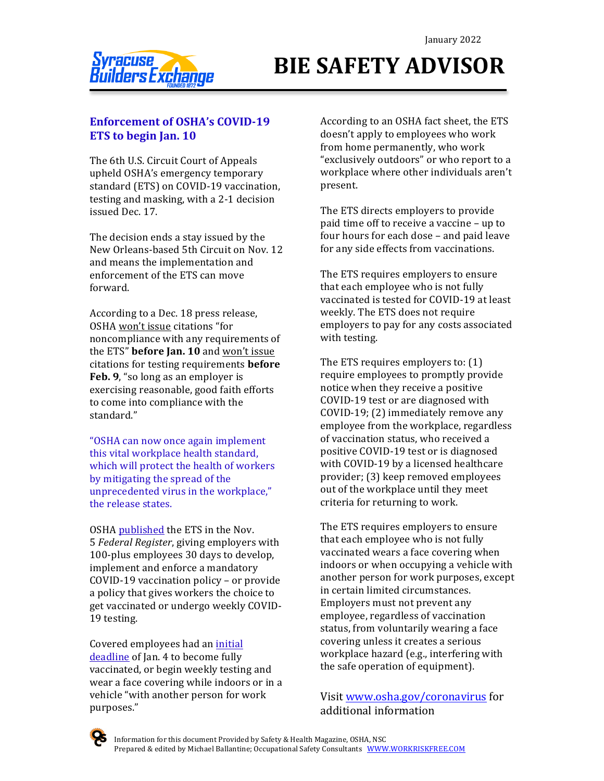

# **BIE SAFETY ADVISOR**

### **Enforcement of OSHA's COVID-19 ETS** to begin Jan. 10

The 6th U.S. Circuit Court of Appeals upheld OSHA's emergency temporary standard (ETS) on COVID-19 vaccination, testing and masking, with a 2-1 decision issued Dec. 17.

The decision ends a stay issued by the New Orleans-based 5th Circuit on Nov. 12 and means the implementation and enforcement of the ETS can move forward.

According to a Dec. 18 press release, OSHA won't issue citations "for noncompliance with any requirements of the ETS" **before Jan. 10** and won't issue citations for testing requirements **before Feb.** 9, "so long as an employer is exercising reasonable, good faith efforts to come into compliance with the standard." 

"OSHA can now once again implement this vital workplace health standard, which will protect the health of workers by mitigating the spread of the unprecedented virus in the workplace," the release states.

OSHA published the ETS in the Nov. 5 *Federal Register*, giving employers with 100-plus employees 30 days to develop, implement and enforce a mandatory COVID-19 vaccination policy - or provide a policy that gives workers the choice to get vaccinated or undergo weekly COVID-19 testing.

Covered employees had an initial deadline of Jan. 4 to become fully vaccinated, or begin weekly testing and wear a face covering while indoors or in a vehicle "with another person for work purposes."

According to an OSHA fact sheet, the ETS doesn't apply to employees who work from home permanently, who work "exclusively outdoors" or who report to a workplace where other individuals aren't present.

The ETS directs employers to provide paid time off to receive a vaccine – up to four hours for each dose – and paid leave for any side effects from vaccinations.

The ETS requires employers to ensure that each employee who is not fully vaccinated is tested for COVID-19 at least weekly. The ETS does not require employers to pay for any costs associated with testing.

The ETS requires employers to:  $(1)$ require employees to promptly provide notice when they receive a positive COVID-19 test or are diagnosed with COVID-19;  $(2)$  immediately remove any employee from the workplace, regardless of vaccination status, who received a positive COVID-19 test or is diagnosed with COVID-19 by a licensed healthcare provider; (3) keep removed employees out of the workplace until they meet criteria for returning to work.

The ETS requires employers to ensure that each employee who is not fully vaccinated wears a face covering when indoors or when occupying a vehicle with another person for work purposes, except in certain limited circumstances. Employers must not prevent any employee, regardless of vaccination status, from voluntarily wearing a face covering unless it creates a serious workplace hazard (e.g., interfering with the safe operation of equipment).

Visit www.osha.gov/coronavirus for additional information